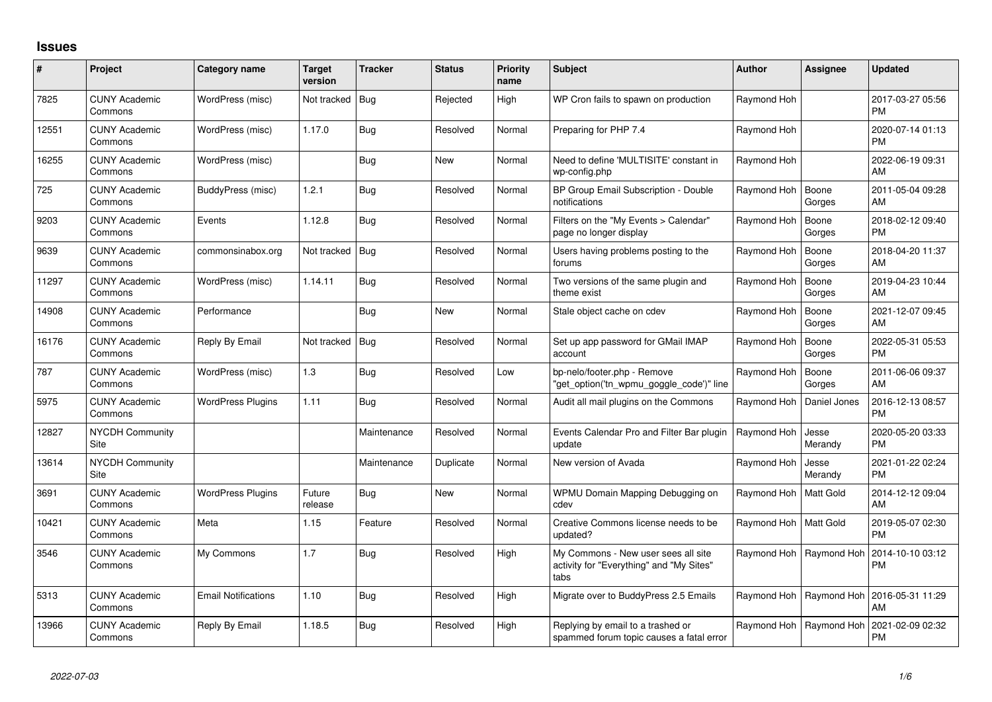## **Issues**

| $\#$  | Project                         | Category name              | <b>Target</b><br>version | <b>Tracker</b> | <b>Status</b> | <b>Priority</b><br>name | <b>Subject</b>                                                                          | Author                     | <b>Assignee</b>           | <b>Updated</b>                |
|-------|---------------------------------|----------------------------|--------------------------|----------------|---------------|-------------------------|-----------------------------------------------------------------------------------------|----------------------------|---------------------------|-------------------------------|
| 7825  | <b>CUNY Academic</b><br>Commons | WordPress (misc)           | Not tracked   Bug        |                | Rejected      | High                    | WP Cron fails to spawn on production                                                    | Raymond Hoh                |                           | 2017-03-27 05:56<br><b>PM</b> |
| 12551 | <b>CUNY Academic</b><br>Commons | WordPress (misc)           | 1.17.0                   | <b>Bug</b>     | Resolved      | Normal                  | Preparing for PHP 7.4                                                                   | Raymond Hoh                |                           | 2020-07-14 01:13<br><b>PM</b> |
| 16255 | <b>CUNY Academic</b><br>Commons | WordPress (misc)           |                          | Bug            | <b>New</b>    | Normal                  | Need to define 'MULTISITE' constant in<br>wp-config.php                                 | Raymond Hoh                |                           | 2022-06-19 09:31<br>AM        |
| 725   | <b>CUNY Academic</b><br>Commons | BuddyPress (misc)          | 1.2.1                    | <b>Bug</b>     | Resolved      | Normal                  | BP Group Email Subscription - Double<br>notifications                                   | Raymond Hoh                | Boone<br>Gorges           | 2011-05-04 09:28<br>AM        |
| 9203  | <b>CUNY Academic</b><br>Commons | Events                     | 1.12.8                   | <b>Bug</b>     | Resolved      | Normal                  | Filters on the "My Events > Calendar"<br>page no longer display                         | Raymond Hoh                | Boone<br>Gorges           | 2018-02-12 09:40<br><b>PM</b> |
| 9639  | <b>CUNY Academic</b><br>Commons | commonsinabox.org          | Not tracked   Bug        |                | Resolved      | Normal                  | Users having problems posting to the<br>forums                                          | Raymond Hoh                | Boone<br>Gorges           | 2018-04-20 11:37<br>AM        |
| 11297 | <b>CUNY Academic</b><br>Commons | WordPress (misc)           | 1.14.11                  | <b>Bug</b>     | Resolved      | Normal                  | Two versions of the same plugin and<br>theme exist                                      | Raymond Hoh                | Boone<br>Gorges           | 2019-04-23 10:44<br>AM        |
| 14908 | <b>CUNY Academic</b><br>Commons | Performance                |                          | Bug            | New           | Normal                  | Stale object cache on cdev                                                              | Raymond Hoh                | Boone<br>Gorges           | 2021-12-07 09:45<br>AM        |
| 16176 | <b>CUNY Academic</b><br>Commons | Reply By Email             | Not tracked   Bug        |                | Resolved      | Normal                  | Set up app password for GMail IMAP<br>account                                           | Raymond Hoh                | Boone<br>Gorges           | 2022-05-31 05:53<br><b>PM</b> |
| 787   | <b>CUNY Academic</b><br>Commons | WordPress (misc)           | 1.3                      | <b>Bug</b>     | Resolved      | Low                     | bp-nelo/footer.php - Remove<br>'get option('tn wpmu goggle code')" line                 | Raymond Hoh                | Boone<br>Gorges           | 2011-06-06 09:37<br>AM        |
| 5975  | <b>CUNY Academic</b><br>Commons | <b>WordPress Plugins</b>   | 1.11                     | <b>Bug</b>     | Resolved      | Normal                  | Audit all mail plugins on the Commons                                                   | Raymond Hoh   Daniel Jones |                           | 2016-12-13 08:57<br><b>PM</b> |
| 12827 | <b>NYCDH Community</b><br>Site  |                            |                          | Maintenance    | Resolved      | Normal                  | Events Calendar Pro and Filter Bar plugin<br>update                                     | Raymond Hoh                | Jesse<br>Merandy          | 2020-05-20 03:33<br><b>PM</b> |
| 13614 | <b>NYCDH Community</b><br>Site  |                            |                          | Maintenance    | Duplicate     | Normal                  | New version of Avada                                                                    | Raymond Hoh                | Jesse<br>Merandy          | 2021-01-22 02:24<br><b>PM</b> |
| 3691  | <b>CUNY Academic</b><br>Commons | <b>WordPress Plugins</b>   | Future<br>release        | <b>Bug</b>     | <b>New</b>    | Normal                  | WPMU Domain Mapping Debugging on<br>cdev                                                | Raymond Hoh   Matt Gold    |                           | 2014-12-12 09:04<br>AM        |
| 10421 | <b>CUNY Academic</b><br>Commons | Meta                       | 1.15                     | Feature        | Resolved      | Normal                  | Creative Commons license needs to be<br>updated?                                        | Raymond Hoh   Matt Gold    |                           | 2019-05-07 02:30<br><b>PM</b> |
| 3546  | <b>CUNY Academic</b><br>Commons | My Commons                 | 1.7                      | <b>Bug</b>     | Resolved      | High                    | My Commons - New user sees all site<br>activity for "Everything" and "My Sites"<br>tabs |                            | Raymond Hoh   Raymond Hoh | 2014-10-10 03:12<br><b>PM</b> |
| 5313  | <b>CUNY Academic</b><br>Commons | <b>Email Notifications</b> | 1.10                     | Bug            | Resolved      | High                    | Migrate over to BuddyPress 2.5 Emails                                                   |                            | Raymond Hoh   Raymond Hoh | 2016-05-31 11:29<br>AM        |
| 13966 | <b>CUNY Academic</b><br>Commons | Reply By Email             | 1.18.5                   | <b>Bug</b>     | Resolved      | High                    | Replying by email to a trashed or<br>spammed forum topic causes a fatal error           |                            | Raymond Hoh   Raymond Hoh | 2021-02-09 02:32<br><b>PM</b> |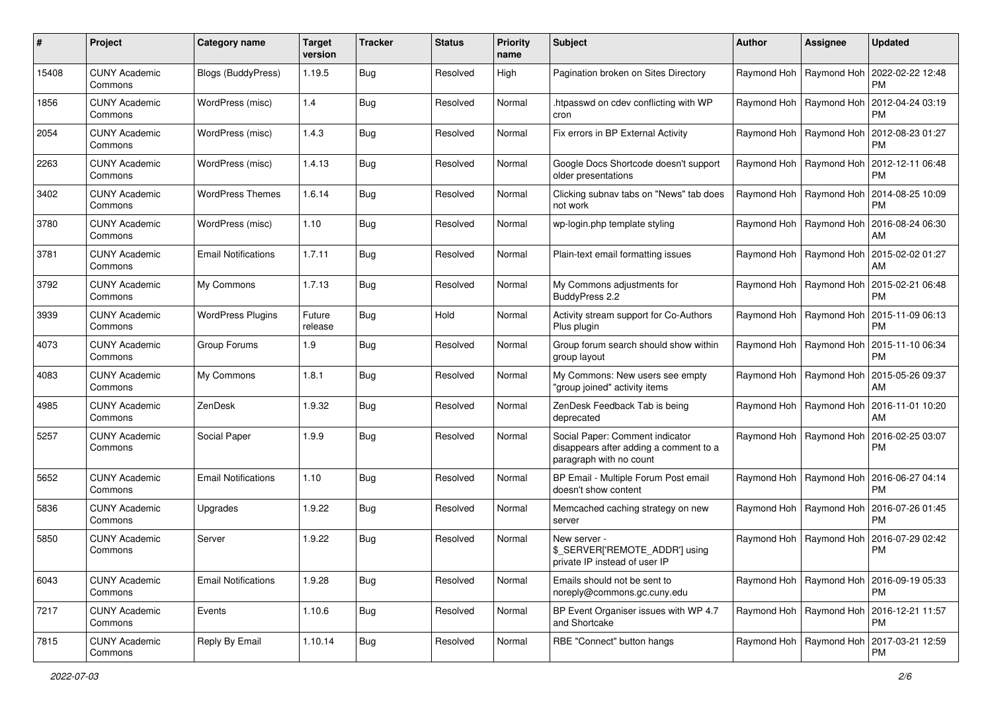| #     | Project                         | <b>Category name</b>       | <b>Target</b><br>version | <b>Tracker</b> | <b>Status</b> | <b>Priority</b><br>name | Subject                                                                                              | Author                    | <b>Assignee</b>           | <b>Updated</b>                |
|-------|---------------------------------|----------------------------|--------------------------|----------------|---------------|-------------------------|------------------------------------------------------------------------------------------------------|---------------------------|---------------------------|-------------------------------|
| 15408 | <b>CUNY Academic</b><br>Commons | <b>Blogs (BuddyPress)</b>  | 1.19.5                   | Bug            | Resolved      | High                    | Pagination broken on Sites Directory                                                                 |                           | Raymond Hoh   Raymond Hoh | 2022-02-22 12:48<br>PM.       |
| 1856  | <b>CUNY Academic</b><br>Commons | WordPress (misc)           | 1.4                      | Bug            | Resolved      | Normal                  | htpasswd on cdev conflicting with WP<br>cron                                                         | Raymond Hoh   Raymond Hoh |                           | 2012-04-24 03:19<br><b>PM</b> |
| 2054  | <b>CUNY Academic</b><br>Commons | WordPress (misc)           | 1.4.3                    | Bug            | Resolved      | Normal                  | Fix errors in BP External Activity                                                                   | Raymond Hoh               | Raymond Hoh               | 2012-08-23 01:27<br><b>PM</b> |
| 2263  | <b>CUNY Academic</b><br>Commons | WordPress (misc)           | 1.4.13                   | Bug            | Resolved      | Normal                  | Google Docs Shortcode doesn't support<br>older presentations                                         | Raymond Hoh               | Raymond Hoh               | 2012-12-11 06:48<br><b>PM</b> |
| 3402  | <b>CUNY Academic</b><br>Commons | <b>WordPress Themes</b>    | 1.6.14                   | Bug            | Resolved      | Normal                  | Clicking subnav tabs on "News" tab does<br>not work                                                  | Raymond Hoh   Raymond Hoh |                           | 2014-08-25 10:09<br><b>PM</b> |
| 3780  | <b>CUNY Academic</b><br>Commons | WordPress (misc)           | 1.10                     | Bug            | Resolved      | Normal                  | wp-login.php template styling                                                                        |                           | Raymond Hoh   Raymond Hoh | 2016-08-24 06:30<br>AM        |
| 3781  | <b>CUNY Academic</b><br>Commons | <b>Email Notifications</b> | 1.7.11                   | Bug            | Resolved      | Normal                  | Plain-text email formatting issues                                                                   | Raymond Hoh   Raymond Hoh |                           | 2015-02-02 01:27<br>AM        |
| 3792  | <b>CUNY Academic</b><br>Commons | My Commons                 | 1.7.13                   | Bug            | Resolved      | Normal                  | My Commons adjustments for<br>BuddyPress 2.2                                                         | Raymond Hoh   Raymond Hoh |                           | 2015-02-21 06:48<br>PM.       |
| 3939  | <b>CUNY Academic</b><br>Commons | <b>WordPress Plugins</b>   | Future<br>release        | <b>Bug</b>     | Hold          | Normal                  | Activity stream support for Co-Authors<br>Plus plugin                                                | Raymond Hoh   Raymond Hoh |                           | 2015-11-09 06:13<br><b>PM</b> |
| 4073  | <b>CUNY Academic</b><br>Commons | Group Forums               | 1.9                      | Bug            | Resolved      | Normal                  | Group forum search should show within<br>group layout                                                | Raymond Hoh               | Raymond Hoh               | 2015-11-10 06:34<br>PM.       |
| 4083  | <b>CUNY Academic</b><br>Commons | My Commons                 | 1.8.1                    | Bug            | Resolved      | Normal                  | My Commons: New users see empty<br>"group joined" activity items                                     | Raymond Hoh               | Raymond Hoh               | 2015-05-26 09:37<br>AM        |
| 4985  | <b>CUNY Academic</b><br>Commons | ZenDesk                    | 1.9.32                   | <b>Bug</b>     | Resolved      | Normal                  | ZenDesk Feedback Tab is being<br>deprecated                                                          | Raymond Hoh   Raymond Hoh |                           | 2016-11-01 10:20<br>AM        |
| 5257  | <b>CUNY Academic</b><br>Commons | Social Paper               | 1.9.9                    | Bug            | Resolved      | Normal                  | Social Paper: Comment indicator<br>disappears after adding a comment to a<br>paragraph with no count | Raymond Hoh   Raymond Hoh |                           | 2016-02-25 03:07<br><b>PM</b> |
| 5652  | <b>CUNY Academic</b><br>Commons | <b>Email Notifications</b> | 1.10                     | Bug            | Resolved      | Normal                  | BP Email - Multiple Forum Post email<br>doesn't show content                                         |                           | Raymond Hoh   Raymond Hoh | 2016-06-27 04:14<br><b>PM</b> |
| 5836  | <b>CUNY Academic</b><br>Commons | Upgrades                   | 1.9.22                   | Bug            | Resolved      | Normal                  | Memcached caching strategy on new<br>server                                                          | Raymond Hoh               | Raymond Hoh               | 2016-07-26 01:45<br><b>PM</b> |
| 5850  | <b>CUNY Academic</b><br>Commons | Server                     | 1.9.22                   | Bug            | Resolved      | Normal                  | New server -<br>\$_SERVER['REMOTE_ADDR'] using<br>private IP instead of user IP                      | Raymond Hoh               | Raymond Hoh               | 2016-07-29 02:42<br><b>PM</b> |
| 6043  | <b>CUNY Academic</b><br>Commons | <b>Email Notifications</b> | 1.9.28                   | <b>Bug</b>     | Resolved      | Normal                  | Emails should not be sent to<br>noreply@commons.gc.cuny.edu                                          | Raymond Hoh   Raymond Hoh |                           | 2016-09-19 05:33<br>PM        |
| 7217  | <b>CUNY Academic</b><br>Commons | Events                     | 1.10.6                   | Bug            | Resolved      | Normal                  | BP Event Organiser issues with WP 4.7<br>and Shortcake                                               | Raymond Hoh   Raymond Hoh |                           | 2016-12-21 11:57<br><b>PM</b> |
| 7815  | <b>CUNY Academic</b><br>Commons | Reply By Email             | 1.10.14                  | Bug            | Resolved      | Normal                  | RBE "Connect" button hangs                                                                           |                           | Raymond Hoh   Raymond Hoh | 2017-03-21 12:59<br>PM        |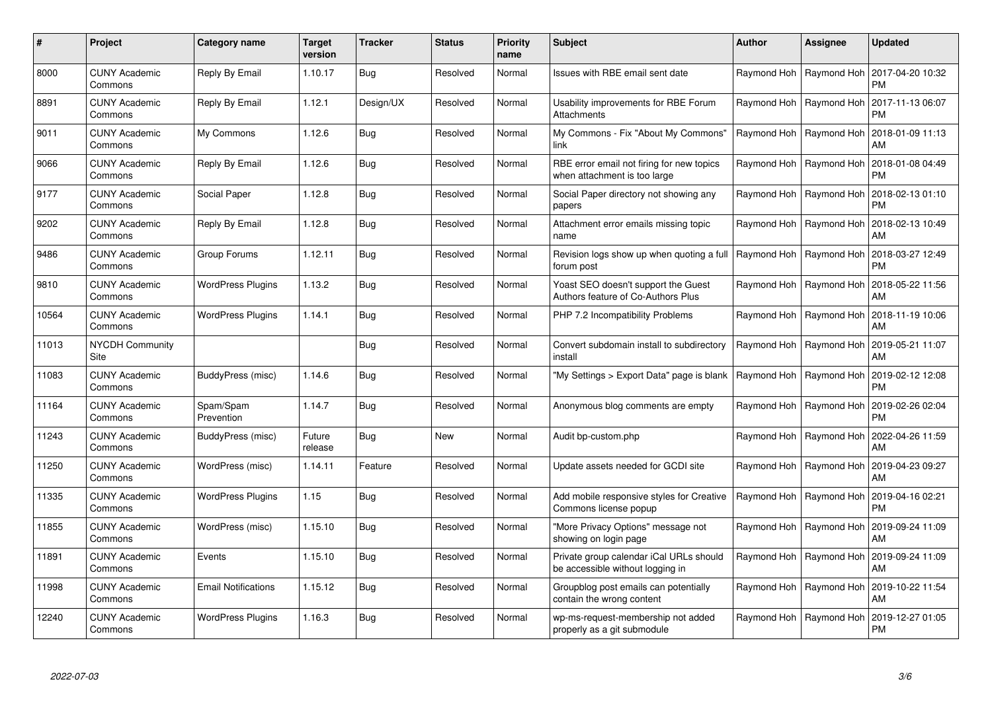| #     | Project                         | <b>Category name</b>       | Target<br>version | <b>Tracker</b> | <b>Status</b> | <b>Priority</b><br>name | <b>Subject</b>                                                              | Author                    | <b>Assignee</b>           | <b>Updated</b>                |
|-------|---------------------------------|----------------------------|-------------------|----------------|---------------|-------------------------|-----------------------------------------------------------------------------|---------------------------|---------------------------|-------------------------------|
| 8000  | <b>CUNY Academic</b><br>Commons | Reply By Email             | 1.10.17           | Bug            | Resolved      | Normal                  | Issues with RBE email sent date                                             | Raymond Hoh               | Raymond Hoh               | 2017-04-20 10:32<br><b>PM</b> |
| 8891  | <b>CUNY Academic</b><br>Commons | Reply By Email             | 1.12.1            | Design/UX      | Resolved      | Normal                  | Usability improvements for RBE Forum<br>Attachments                         |                           | Raymond Hoh   Raymond Hoh | 2017-11-13 06:07<br><b>PM</b> |
| 9011  | <b>CUNY Academic</b><br>Commons | My Commons                 | 1.12.6            | Bug            | Resolved      | Normal                  | My Commons - Fix "About My Commons"<br>link                                 | Raymond Hoh               | Raymond Hoh               | 2018-01-09 11:13<br>AM        |
| 9066  | CUNY Academic<br>Commons        | Reply By Email             | 1.12.6            | Bug            | Resolved      | Normal                  | RBE error email not firing for new topics<br>when attachment is too large   | Raymond Hoh               | Raymond Hoh               | 2018-01-08 04:49<br><b>PM</b> |
| 9177  | <b>CUNY Academic</b><br>Commons | Social Paper               | 1.12.8            | Bug            | Resolved      | Normal                  | Social Paper directory not showing any<br>papers                            |                           | Raymond Hoh   Raymond Hoh | 2018-02-13 01:10<br><b>PM</b> |
| 9202  | <b>CUNY Academic</b><br>Commons | Reply By Email             | 1.12.8            | Bug            | Resolved      | Normal                  | Attachment error emails missing topic<br>name                               |                           | Raymond Hoh   Raymond Hoh | 2018-02-13 10:49<br>AM        |
| 9486  | <b>CUNY Academic</b><br>Commons | Group Forums               | 1.12.11           | Bug            | Resolved      | Normal                  | Revision logs show up when quoting a full<br>forum post                     | Raymond Hoh   Raymond Hoh |                           | 2018-03-27 12:49<br><b>PM</b> |
| 9810  | <b>CUNY Academic</b><br>Commons | <b>WordPress Plugins</b>   | 1.13.2            | Bug            | Resolved      | Normal                  | Yoast SEO doesn't support the Guest<br>Authors feature of Co-Authors Plus   | Raymond Hoh               | Raymond Hoh               | 2018-05-22 11:56<br>AM        |
| 10564 | <b>CUNY Academic</b><br>Commons | <b>WordPress Plugins</b>   | 1.14.1            | Bug            | Resolved      | Normal                  | PHP 7.2 Incompatibility Problems                                            |                           | Raymond Hoh   Raymond Hoh | 2018-11-19 10:06<br>AM        |
| 11013 | NYCDH Community<br>Site         |                            |                   | Bug            | Resolved      | Normal                  | Convert subdomain install to subdirectory<br>install                        |                           | Raymond Hoh   Raymond Hoh | 2019-05-21 11:07<br>AM        |
| 11083 | <b>CUNY Academic</b><br>Commons | BuddyPress (misc)          | 1.14.6            | Bug            | Resolved      | Normal                  | 'My Settings > Export Data" page is blank                                   | Raymond Hoh               | Raymond Hoh               | 2019-02-12 12:08<br><b>PM</b> |
| 11164 | <b>CUNY Academic</b><br>Commons | Spam/Spam<br>Prevention    | 1.14.7            | Bug            | Resolved      | Normal                  | Anonymous blog comments are empty                                           | Raymond Hoh               | Raymond Hoh               | 2019-02-26 02:04<br><b>PM</b> |
| 11243 | <b>CUNY Academic</b><br>Commons | BuddyPress (misc)          | Future<br>release | Bug            | <b>New</b>    | Normal                  | Audit bp-custom.php                                                         |                           | Raymond Hoh   Raymond Hoh | 2022-04-26 11:59<br>AM        |
| 11250 | <b>CUNY Academic</b><br>Commons | WordPress (misc)           | 1.14.11           | Feature        | Resolved      | Normal                  | Update assets needed for GCDI site                                          |                           | Raymond Hoh   Raymond Hoh | 2019-04-23 09:27<br>AM        |
| 11335 | <b>CUNY Academic</b><br>Commons | <b>WordPress Plugins</b>   | 1.15              | Bug            | Resolved      | Normal                  | Add mobile responsive styles for Creative<br>Commons license popup          |                           | Raymond Hoh   Raymond Hoh | 2019-04-16 02:21<br><b>PM</b> |
| 11855 | <b>CUNY Academic</b><br>Commons | WordPress (misc)           | 1.15.10           | Bug            | Resolved      | Normal                  | "More Privacy Options" message not<br>showing on login page                 |                           | Raymond Hoh   Raymond Hoh | 2019-09-24 11:09<br>AM        |
| 11891 | <b>CUNY Academic</b><br>Commons | Events                     | 1.15.10           | Bug            | Resolved      | Normal                  | Private group calendar iCal URLs should<br>be accessible without logging in |                           | Raymond Hoh   Raymond Hoh | 2019-09-24 11:09<br>AM        |
| 11998 | <b>CUNY Academic</b><br>Commons | <b>Email Notifications</b> | 1.15.12           | Bug            | Resolved      | Normal                  | Groupblog post emails can potentially<br>contain the wrong content          |                           | Raymond Hoh   Raymond Hoh | 2019-10-22 11:54<br>AM        |
| 12240 | <b>CUNY Academic</b><br>Commons | <b>WordPress Plugins</b>   | 1.16.3            | <b>Bug</b>     | Resolved      | Normal                  | wp-ms-request-membership not added<br>properly as a git submodule           | Raymond Hoh               | Raymond Hoh               | 2019-12-27 01:05<br><b>PM</b> |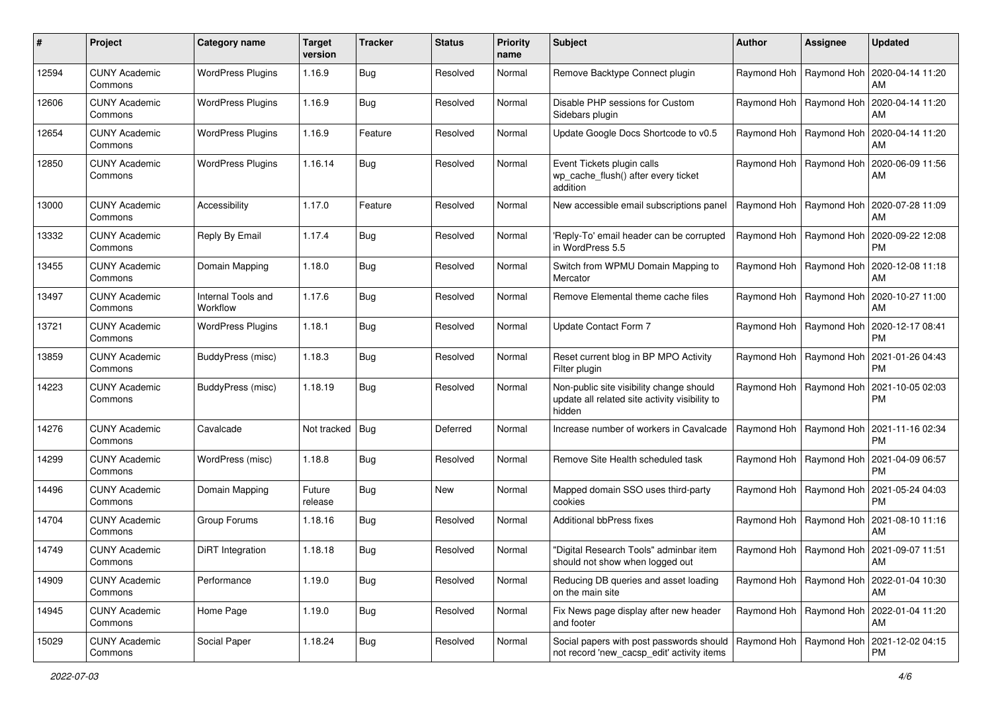| #     | Project                         | Category name                  | <b>Target</b><br>version | <b>Tracker</b> | <b>Status</b> | <b>Priority</b><br>name | Subject                                                                                              | <b>Author</b> | <b>Assignee</b>           | <b>Updated</b>                                        |
|-------|---------------------------------|--------------------------------|--------------------------|----------------|---------------|-------------------------|------------------------------------------------------------------------------------------------------|---------------|---------------------------|-------------------------------------------------------|
| 12594 | <b>CUNY Academic</b><br>Commons | <b>WordPress Plugins</b>       | 1.16.9                   | <b>Bug</b>     | Resolved      | Normal                  | Remove Backtype Connect plugin                                                                       |               | Raymond Hoh   Raymond Hoh | 2020-04-14 11:20<br>AM                                |
| 12606 | <b>CUNY Academic</b><br>Commons | <b>WordPress Plugins</b>       | 1.16.9                   | <b>Bug</b>     | Resolved      | Normal                  | Disable PHP sessions for Custom<br>Sidebars plugin                                                   |               | Raymond Hoh   Raymond Hoh | 2020-04-14 11:20<br>AM                                |
| 12654 | <b>CUNY Academic</b><br>Commons | <b>WordPress Plugins</b>       | 1.16.9                   | Feature        | Resolved      | Normal                  | Update Google Docs Shortcode to v0.5                                                                 |               | Raymond Hoh   Raymond Hoh | 2020-04-14 11:20<br>AM                                |
| 12850 | <b>CUNY Academic</b><br>Commons | <b>WordPress Plugins</b>       | 1.16.14                  | <b>Bug</b>     | Resolved      | Normal                  | Event Tickets plugin calls<br>wp cache flush() after every ticket<br>addition                        |               | Raymond Hoh   Raymond Hoh | 2020-06-09 11:56<br>AM                                |
| 13000 | <b>CUNY Academic</b><br>Commons | Accessibility                  | 1.17.0                   | Feature        | Resolved      | Normal                  | New accessible email subscriptions panel                                                             |               | Raymond Hoh   Raymond Hoh | 2020-07-28 11:09<br>AM                                |
| 13332 | <b>CUNY Academic</b><br>Commons | Reply By Email                 | 1.17.4                   | <b>Bug</b>     | Resolved      | Normal                  | 'Reply-To' email header can be corrupted<br>in WordPress 5.5                                         |               | Raymond Hoh   Raymond Hoh | 2020-09-22 12:08<br><b>PM</b>                         |
| 13455 | <b>CUNY Academic</b><br>Commons | Domain Mapping                 | 1.18.0                   | <b>Bug</b>     | Resolved      | Normal                  | Switch from WPMU Domain Mapping to<br>Mercator                                                       |               | Raymond Hoh   Raymond Hoh | 2020-12-08 11:18<br>AM                                |
| 13497 | <b>CUNY Academic</b><br>Commons | Internal Tools and<br>Workflow | 1.17.6                   | Bug            | Resolved      | Normal                  | Remove Elemental theme cache files                                                                   |               | Raymond Hoh   Raymond Hoh | 2020-10-27 11:00<br>AM                                |
| 13721 | <b>CUNY Academic</b><br>Commons | <b>WordPress Plugins</b>       | 1.18.1                   | <b>Bug</b>     | Resolved      | Normal                  | Update Contact Form 7                                                                                |               | Raymond Hoh   Raymond Hoh | 2020-12-17 08:41<br><b>PM</b>                         |
| 13859 | <b>CUNY Academic</b><br>Commons | BuddyPress (misc)              | 1.18.3                   | <b>Bug</b>     | Resolved      | Normal                  | Reset current blog in BP MPO Activity<br>Filter plugin                                               |               | Raymond Hoh   Raymond Hoh | 2021-01-26 04:43<br><b>PM</b>                         |
| 14223 | <b>CUNY Academic</b><br>Commons | BuddyPress (misc)              | 1.18.19                  | <b>Bug</b>     | Resolved      | Normal                  | Non-public site visibility change should<br>update all related site activity visibility to<br>hidden |               | Raymond Hoh   Raymond Hoh | 2021-10-05 02:03<br><b>PM</b>                         |
| 14276 | <b>CUNY Academic</b><br>Commons | Cavalcade                      | Not tracked   Bug        |                | Deferred      | Normal                  | Increase number of workers in Cavalcade                                                              |               | Raymond Hoh   Raymond Hoh | 2021-11-16 02:34<br><b>PM</b>                         |
| 14299 | <b>CUNY Academic</b><br>Commons | WordPress (misc)               | 1.18.8                   | <b>Bug</b>     | Resolved      | Normal                  | Remove Site Health scheduled task                                                                    |               | Raymond Hoh   Raymond Hoh | 2021-04-09 06:57<br><b>PM</b>                         |
| 14496 | <b>CUNY Academic</b><br>Commons | Domain Mapping                 | Future<br>release        | Bug            | <b>New</b>    | Normal                  | Mapped domain SSO uses third-party<br>cookies                                                        |               | Raymond Hoh   Raymond Hoh | 2021-05-24 04:03<br><b>PM</b>                         |
| 14704 | <b>CUNY Academic</b><br>Commons | Group Forums                   | 1.18.16                  | <b>Bug</b>     | Resolved      | Normal                  | Additional bbPress fixes                                                                             |               | Raymond Hoh   Raymond Hoh | 2021-08-10 11:16<br>AM                                |
| 14749 | <b>CUNY Academic</b><br>Commons | DiRT Integration               | 1.18.18                  | <b>Bug</b>     | Resolved      | Normal                  | 'Digital Research Tools" adminbar item<br>should not show when logged out                            |               |                           | Raymond Hoh   Raymond Hoh   2021-09-07 11:51<br>AM    |
| 14909 | <b>CUNY Academic</b><br>Commons | Performance                    | 1.19.0                   | Bug            | Resolved      | Normal                  | Reducing DB queries and asset loading<br>on the main site                                            |               | Raymond Hoh   Raymond Hoh | 2022-01-04 10:30<br>AM                                |
| 14945 | <b>CUNY Academic</b><br>Commons | Home Page                      | 1.19.0                   | Bug            | Resolved      | Normal                  | Fix News page display after new header<br>and footer                                                 |               | Raymond Hoh   Raymond Hoh | 2022-01-04 11:20<br>AM                                |
| 15029 | <b>CUNY Academic</b><br>Commons | Social Paper                   | 1.18.24                  | Bug            | Resolved      | Normal                  | Social papers with post passwords should<br>not record 'new_cacsp_edit' activity items               |               |                           | Raymond Hoh Raymond Hoh 2021-12-02 04:15<br><b>PM</b> |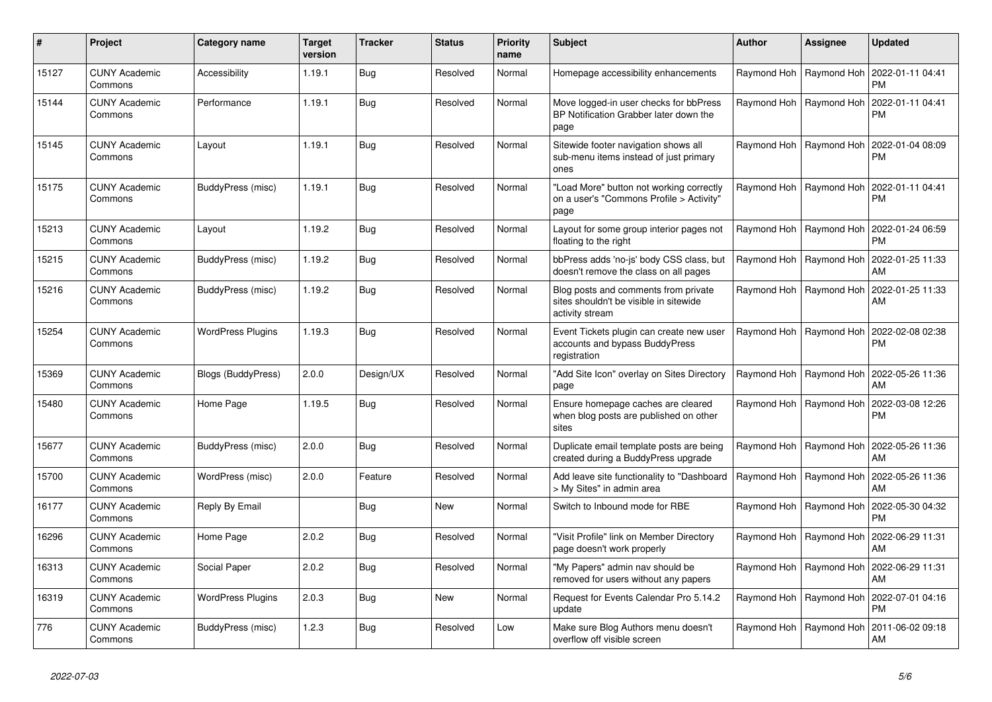| $\pmb{\#}$ | Project                         | Category name            | <b>Target</b><br>version | <b>Tracker</b> | <b>Status</b> | <b>Priority</b><br>name | <b>Subject</b>                                                                                    | <b>Author</b> | Assignee                  | <b>Updated</b>                |
|------------|---------------------------------|--------------------------|--------------------------|----------------|---------------|-------------------------|---------------------------------------------------------------------------------------------------|---------------|---------------------------|-------------------------------|
| 15127      | <b>CUNY Academic</b><br>Commons | Accessibility            | 1.19.1                   | <b>Bug</b>     | Resolved      | Normal                  | Homepage accessibility enhancements                                                               | Raymond Hoh   | Raymond Hoh               | 2022-01-11 04:41<br><b>PM</b> |
| 15144      | <b>CUNY Academic</b><br>Commons | Performance              | 1.19.1                   | Bug            | Resolved      | Normal                  | Move logged-in user checks for bbPress<br>BP Notification Grabber later down the<br>page          | Raymond Hoh   | Raymond Hoh               | 2022-01-11 04:41<br>PM        |
| 15145      | <b>CUNY Academic</b><br>Commons | Layout                   | 1.19.1                   | Bug            | Resolved      | Normal                  | Sitewide footer navigation shows all<br>sub-menu items instead of just primary<br>ones            |               | Raymond Hoh   Raymond Hoh | 2022-01-04 08:09<br><b>PM</b> |
| 15175      | <b>CUNY Academic</b><br>Commons | BuddyPress (misc)        | 1.19.1                   | Bug            | Resolved      | Normal                  | 'Load More" button not working correctly<br>on a user's "Commons Profile > Activity"<br>page      | Raymond Hoh   | Raymond Hoh               | 2022-01-11 04:41<br>PM        |
| 15213      | <b>CUNY Academic</b><br>Commons | Layout                   | 1.19.2                   | <b>Bug</b>     | Resolved      | Normal                  | Layout for some group interior pages not<br>floating to the right                                 | Raymond Hoh   | Raymond Hoh               | 2022-01-24 06:59<br><b>PM</b> |
| 15215      | <b>CUNY Academic</b><br>Commons | <b>BuddyPress (misc)</b> | 1.19.2                   | <b>Bug</b>     | Resolved      | Normal                  | bbPress adds 'no-js' body CSS class, but<br>doesn't remove the class on all pages                 | Raymond Hoh   | Raymond Hoh               | 2022-01-25 11:33<br>AM        |
| 15216      | <b>CUNY Academic</b><br>Commons | BuddyPress (misc)        | 1.19.2                   | Bug            | Resolved      | Normal                  | Blog posts and comments from private<br>sites shouldn't be visible in sitewide<br>activity stream | Raymond Hoh   | Raymond Hoh               | 2022-01-25 11:33<br>AM        |
| 15254      | <b>CUNY Academic</b><br>Commons | <b>WordPress Plugins</b> | 1.19.3                   | <b>Bug</b>     | Resolved      | Normal                  | Event Tickets plugin can create new user<br>accounts and bypass BuddyPress<br>registration        | Raymond Hoh   | Raymond Hoh               | 2022-02-08 02:38<br><b>PM</b> |
| 15369      | <b>CUNY Academic</b><br>Commons | Blogs (BuddyPress)       | 2.0.0                    | Design/UX      | Resolved      | Normal                  | 'Add Site Icon" overlay on Sites Directory<br>page                                                | Raymond Hoh   | Raymond Hoh               | 2022-05-26 11:36<br>AM        |
| 15480      | <b>CUNY Academic</b><br>Commons | Home Page                | 1.19.5                   | Bug            | Resolved      | Normal                  | Ensure homepage caches are cleared<br>when blog posts are published on other<br>sites             | Raymond Hoh   | Raymond Hoh               | 2022-03-08 12:26<br><b>PM</b> |
| 15677      | <b>CUNY Academic</b><br>Commons | BuddyPress (misc)        | 2.0.0                    | <b>Bug</b>     | Resolved      | Normal                  | Duplicate email template posts are being<br>created during a BuddyPress upgrade                   | Raymond Hoh   | Raymond Hoh               | 2022-05-26 11:36<br>AM        |
| 15700      | <b>CUNY Academic</b><br>Commons | WordPress (misc)         | 2.0.0                    | Feature        | Resolved      | Normal                  | Add leave site functionality to "Dashboard<br>> My Sites" in admin area                           | Raymond Hoh   | Raymond Hoh               | 2022-05-26 11:36<br>AM        |
| 16177      | <b>CUNY Academic</b><br>Commons | Reply By Email           |                          | Bug            | New           | Normal                  | Switch to Inbound mode for RBE                                                                    | Raymond Hoh   | Raymond Hoh               | 2022-05-30 04:32<br><b>PM</b> |
| 16296      | <b>CUNY Academic</b><br>Commons | Home Page                | 2.0.2                    | <b>Bug</b>     | Resolved      | Normal                  | "Visit Profile" link on Member Directory<br>page doesn't work properly                            | Raymond Hoh   | Raymond Hoh               | 2022-06-29 11:31<br>AM        |
| 16313      | <b>CUNY Academic</b><br>Commons | Social Paper             | 2.0.2                    | Bug            | Resolved      | Normal                  | 'My Papers" admin nav should be<br>removed for users without any papers                           | Raymond Hoh   | Raymond Hoh               | 2022-06-29 11:31<br>AM        |
| 16319      | <b>CUNY Academic</b><br>Commons | <b>WordPress Plugins</b> | 2.0.3                    | <b>Bug</b>     | <b>New</b>    | Normal                  | Request for Events Calendar Pro 5.14.2<br>update                                                  | Raymond Hoh   | Raymond Hoh               | 2022-07-01 04:16<br><b>PM</b> |
| 776        | <b>CUNY Academic</b><br>Commons | BuddyPress (misc)        | 1.2.3                    | Bug            | Resolved      | Low                     | Make sure Blog Authors menu doesn't<br>overflow off visible screen                                | Raymond Hoh   | Raymond Hoh               | 2011-06-02 09:18<br>AM        |